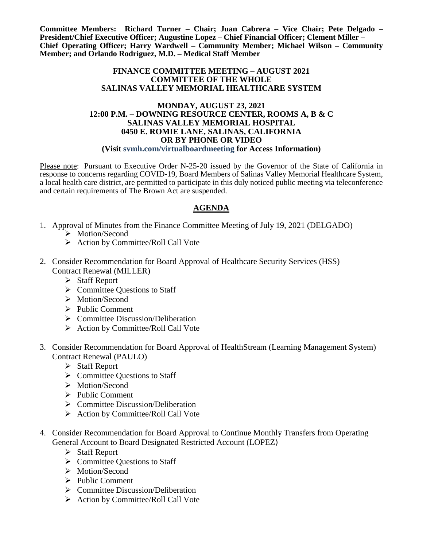**Committee Members: Richard Turner – Chair; Juan Cabrera – Vice Chair; Pete Delgado – President/Chief Executive Officer; Augustine Lopez – Chief Financial Officer; Clement Miller – Chief Operating Officer; Harry Wardwell – Community Member; Michael Wilson – Community Member; and Orlando Rodriguez, M.D. – Medical Staff Member**

## **FINANCE COMMITTEE MEETING – AUGUST 2021 COMMITTEE OF THE WHOLE SALINAS VALLEY MEMORIAL HEALTHCARE SYSTEM**

## **MONDAY, AUGUST 23, 2021 12:00 P.M. – DOWNING RESOURCE CENTER, ROOMS A, B & C SALINAS VALLEY MEMORIAL HOSPITAL 0450 E. ROMIE LANE, SALINAS, CALIFORNIA OR BY PHONE OR VIDEO (Visit svmh.com/virtualboardmeeting for Access Information)**

Please note: Pursuant to Executive Order N-25-20 issued by the Governor of the State of California in response to concerns regarding COVID-19, Board Members of Salinas Valley Memorial Healthcare System, a local health care district, are permitted to participate in this duly noticed public meeting via teleconference and certain requirements of The Brown Act are suspended.

## **AGENDA**

- 1. Approval of Minutes from the Finance Committee Meeting of July 19, 2021 (DELGADO)
	- > Motion/Second
	- $\triangleright$  Action by Committee/Roll Call Vote
- 2. Consider Recommendation for Board Approval of Healthcare Security Services (HSS) Contract Renewal (MILLER)
	- $\triangleright$  Staff Report
	- $\triangleright$  Committee Questions to Staff
	- > Motion/Second
	- $\triangleright$  Public Comment
	- $\triangleright$  Committee Discussion/Deliberation
	- $\triangleright$  Action by Committee/Roll Call Vote
- 3. Consider Recommendation for Board Approval of HealthStream (Learning Management System) Contract Renewal (PAULO)
	- $\triangleright$  Staff Report
	- $\triangleright$  Committee Questions to Staff
	- > Motion/Second
	- $\triangleright$  Public Comment
	- $\triangleright$  Committee Discussion/Deliberation
	- $\triangleright$  Action by Committee/Roll Call Vote
- 4. Consider Recommendation for Board Approval to Continue Monthly Transfers from Operating General Account to Board Designated Restricted Account (LOPEZ)
	- Staff Report
	- $\triangleright$  Committee Ouestions to Staff
	- > Motion/Second
	- $\triangleright$  Public Comment
	- $\triangleright$  Committee Discussion/Deliberation
	- $\triangleright$  Action by Committee/Roll Call Vote